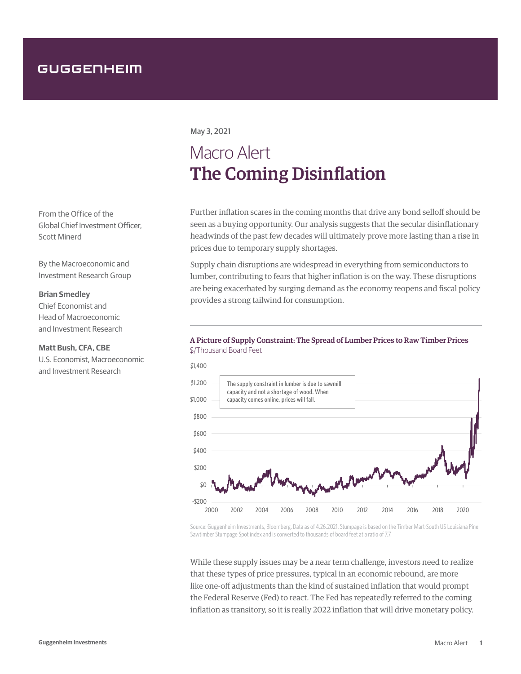## GUGGENHEIM

May 3, 2021

# Macro Alert The Coming Disinflation

Further inflation scares in the coming months that drive any bond selloff should be seen as a buying opportunity. Our analysis suggests that the secular disinflationary headwinds of the past few decades will ultimately prove more lasting than a rise in prices due to temporary supply shortages.

Supply chain disruptions are widespread in everything from semiconductors to lumber, contributing to fears that higher inflation is on the way. These disruptions are being exacerbated by surging demand as the economy reopens and fiscal policy provides a strong tailwind for consumption.

### A Picture of Supply Constraint: The Spread of Lumber Prices to Raw Timber Prices \$/Thousand Board Feet



Source: Guggenheim Investments, Bloomberg. Data as of 4.26.2021. Stumpage is based on the Timber Mart-South US Louisiana Pine Sawtimber Stumpage Spot index and is converted to thousands of board feet at a ratio of 7.7.

While these supply issues may be a near term challenge, investors need to realize that these types of price pressures, typical in an economic rebound, are more like one-off adjustments than the kind of sustained inflation that would prompt the Federal Reserve (Fed) to react. The Fed has repeatedly referred to the coming inflation as transitory, so it is really 2022 inflation that will drive monetary policy.

From the Office of the Global Chief Investment Officer, Scott Minerd

By the Macroeconomic and Investment Research Group

### **Brian Smedley**

Chief Economist and Head of Macroeconomic and Investment Research

#### **Matt Bush, CFA, CBE**

U.S. Economist, Macroeconomic and Investment Research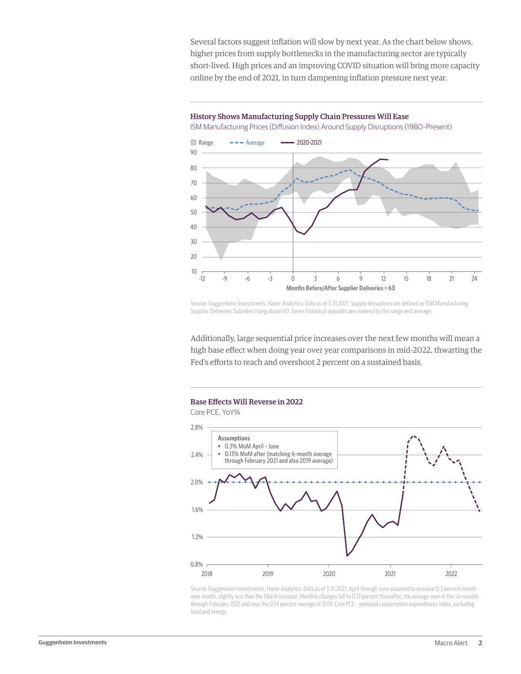Several factors suggest inflation will slow by next year. As the chart below shows, higher prices from supply bottlenecks in the manufacturing sector are typically short-lived. High prices and an improving COVID situation will bring more capacity online by the end of 2021, in turn dampening inflation pressure next year.

#### History Shows Manufacturing Supply Chain Pressures Will Ease

ISM Manufacturing Prices (Diffusion Index) Around Supply Disruptions (1980–Present)



Source: Guggenheim Investments, Haver Analytics. Data as of 3.31.2021. Supply disruptions are defined as ISM Manufacturing Supplier Deliveries Subindex rising above 60. Seven historical episodes are covered by the range and average.

Additionally, large sequential price increases over the next few months will mean a high base effect when doing year over year comparisons in mid-2022, thwarting the Fed's efforts to reach and overshoot 2 percent on a sustained basis.



Source: Guggenheim Investments, Haver Analytics. Data as of 3.31.2021. April through June assumed to increase 0.3 percent month over month, slightly less than the March increase. Monthly changes fall to 0.13 percent thereafter, the average seen in the six months through February 2021 and near the 0.14 percent average of 2019. Core PCE – personal consumption expenditures index, excluding food and energy.